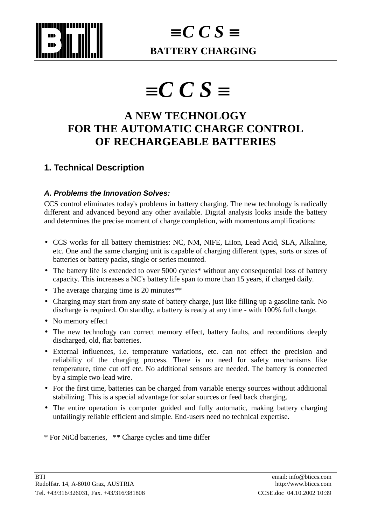

# $\equiv C C S \equiv$ **BATTERY CHARGING**

# ≡ *C C S* ≡

# **A NEW TECHNOLOGY FOR THE AUTOMATIC CHARGE CONTROL OF RECHARGEABLE BATTERIES**

### **1. Technical Description**

#### *A. Problems the Innovation Solves:*

CCS control eliminates today's problems in battery charging. The new technology is radically different and advanced beyond any other available. Digital analysis looks inside the battery and determines the precise moment of charge completion, with momentous amplifications:

- CCS works for all battery chemistries: NC, NM, NIFE, LiIon, Lead Acid, SLA, Alkaline, etc. One and the same charging unit is capable of charging different types, sorts or sizes of batteries or battery packs, single or series mounted.
- The battery life is extended to over 5000 cycles<sup>\*</sup> without any consequential loss of battery capacity. This increases a NC's battery life span to more than 15 years, if charged daily.
- The average charging time is 20 minutes\*\*
- Charging may start from any state of battery charge, just like filling up a gasoline tank. No discharge is required. On standby, a battery is ready at any time - with 100% full charge.
- No memory effect
- The new technology can correct memory effect, battery faults, and reconditions deeply discharged, old, flat batteries.
- External influences, i.e. temperature variations, etc. can not effect the precision and reliability of the charging process. There is no need for safety mechanisms like temperature, time cut off etc. No additional sensors are needed. The battery is connected by a simple two-lead wire.
- For the first time, batteries can be charged from variable energy sources without additional stabilizing. This is a special advantage for solar sources or feed back charging.
- The entire operation is computer guided and fully automatic, making battery charging unfailingly reliable efficient and simple. End-users need no technical expertise.
- \* For NiCd batteries, \*\* Charge cycles and time differ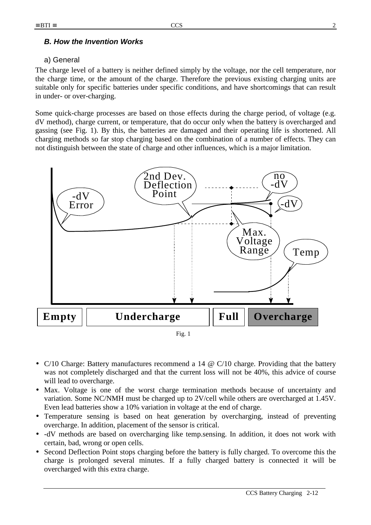#### *B. How the Invention Works*

#### a) General

The charge level of a battery is neither defined simply by the voltage, nor the cell temperature, nor the charge time, or the amount of the charge. Therefore the previous existing charging units are suitable only for specific batteries under specific conditions, and have shortcomings that can result in under- or over-charging.

Some quick-charge processes are based on those effects during the charge period, of voltage (e.g. dV method), charge current, or temperature, that do occur only when the battery is overcharged and gassing (see Fig. 1). By this, the batteries are damaged and their operating life is shortened. All charging methods so far stop charging based on the combination of a number of effects. They can not distinguish between the state of charge and other influences, which is a major limitation.



- $C/10$  Charge: Battery manufactures recommend a 14  $\omega$  C/10 charge. Providing that the battery was not completely discharged and that the current loss will not be 40%, this advice of course will lead to overcharge.
- Max. Voltage is one of the worst charge termination methods because of uncertainty and variation. Some NC/NMH must be charged up to 2V/cell while others are overcharged at 1.45V. Even lead batteries show a 10% variation in voltage at the end of charge.
- Temperature sensing is based on heat generation by overcharging, instead of preventing overcharge. In addition, placement of the sensor is critical.
- -dV methods are based on overcharging like temp.sensing. In addition, it does not work with certain, bad, wrong or open cells.
- Second Deflection Point stops charging before the battery is fully charged. To overcome this the charge is prolonged several minutes. If a fully charged battery is connected it will be overcharged with this extra charge.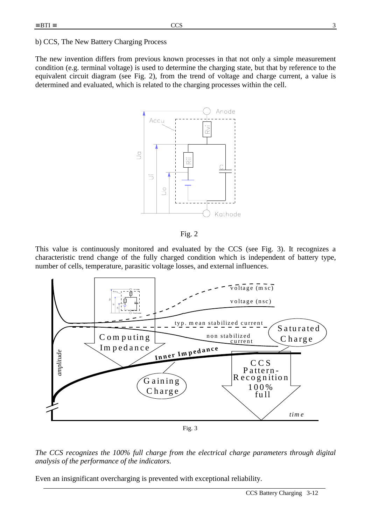b) CCS, The New Battery Charging Process

The new invention differs from previous known processes in that not only a simple measurement condition (e.g. terminal voltage) is used to determine the charging state, but that by reference to the equivalent circuit diagram (see Fig. 2), from the trend of voltage and charge current, a value is determined and evaluated, which is related to the charging processes within the cell.



Fig. 2

This value is continuously monitored and evaluated by the CCS (see Fig. 3). It recognizes a characteristic trend change of the fully charged condition which is independent of battery type, number of cells, temperature, parasitic voltage losses, and external influences.



Fig. 3



Even an insignificant overcharging is prevented with exceptional reliability.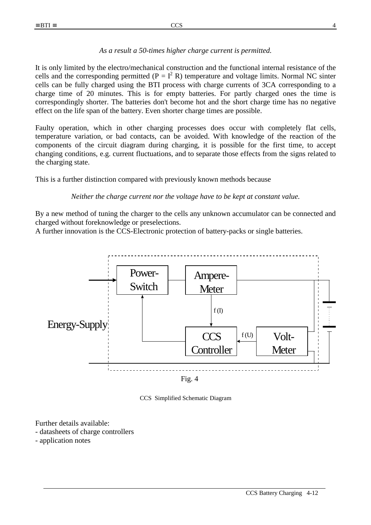#### *As a result a 50-times higher charge current is permitted.*

It is only limited by the electro/mechanical construction and the functional internal resistance of the cells and the corresponding permitted ( $P = I^2 R$ ) temperature and voltage limits. Normal NC sinter cells can be fully charged using the BTI process with charge currents of 3CA corresponding to a charge time of 20 minutes. This is for empty batteries. For partly charged ones the time is correspondingly shorter. The batteries don't become hot and the short charge time has no negative effect on the life span of the battery. Even shorter charge times are possible.

Faulty operation, which in other charging processes does occur with completely flat cells, temperature variation, or bad contacts, can be avoided. With knowledge of the reaction of the components of the circuit diagram during charging, it is possible for the first time, to accept changing conditions, e.g. current fluctuations, and to separate those effects from the signs related to the charging state.

This is a further distinction compared with previously known methods because

*Neither the charge current nor the voltage have to be kept at constant value.* 

By a new method of tuning the charger to the cells any unknown accumulator can be connected and charged without foreknowledge or preselections.

A further innovation is the CCS-Electronic protection of battery-packs or single batteries.



Fig. 4

CCS Simplified Schematic Diagram

Further details available:

- datasheets of charge controllers

- application notes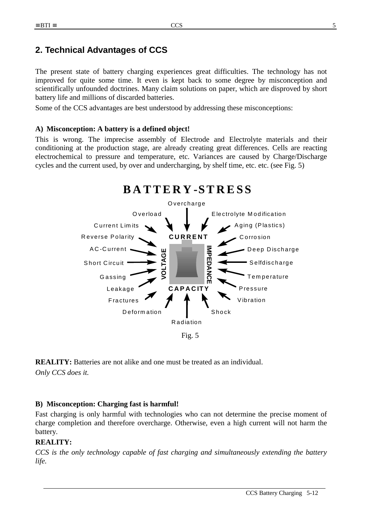# **2. Technical Advantages of CCS**

The present state of battery charging experiences great difficulties. The technology has not improved for quite some time. It even is kept back to some degree by misconception and scientifically unfounded doctrines. Many claim solutions on paper, which are disproved by short battery life and millions of discarded batteries.

Some of the CCS advantages are best understood by addressing these misconceptions:

#### **A) Misconception: A battery is a defined object!**

This is wrong. The imprecise assembly of Electrode and Electrolyte materials and their conditioning at the production stage, are already creating great differences. Cells are reacting electrochemical to pressure and temperature, etc. Variances are caused by Charge/Discharge cycles and the current used, by over and undercharging, by shelf time, etc. etc. (see Fig. 5)



**REALITY:** Batteries are not alike and one must be treated as an individual. *Only CCS does it.* 

#### **B) Misconception: Charging fast is harmful!**

Fast charging is only harmful with technologies who can not determine the precise moment of charge completion and therefore overcharge. Otherwise, even a high current will not harm the battery.

#### **REALITY:**

*CCS is the only technology capable of fast charging and simultaneously extending the battery life.*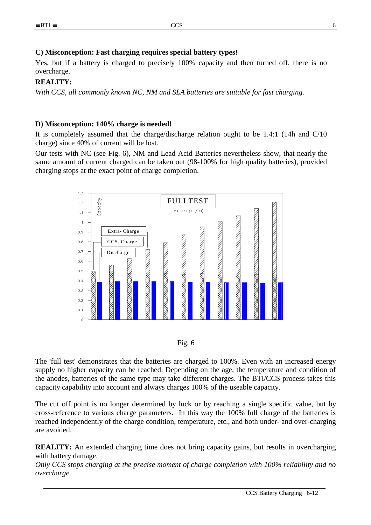#### **C) Misconception: Fast charging requires special battery types!**

Yes, but if a battery is charged to precisely 100% capacity and then turned off, there is no overcharge.

#### **REALITY:**

*With CCS, all commonly known NC, NM and SLA batteries are suitable for fast charging.* 

#### **D) Misconception: 140% charge is needed!**

It is completely assumed that the charge/discharge relation ought to be 1.4:1 (14h and C/10 charge) since 40% of current will be lost.

Our tests with NC (see Fig. 6), NM and Lead Acid Batteries nevertheless show, that nearly the same amount of current charged can be taken out (98-100% for high quality batteries), provided charging stops at the exact point of charge completion.





The 'full test' demonstrates that the batteries are charged to 100%. Even with an increased energy supply no higher capacity can be reached. Depending on the age, the temperature and condition of the anodes, batteries of the same type may take different charges. The BTI/CCS process takes this capacity capability into account and always charges 100% of the useable capacity.

The cut off point is no longer determined by luck or by reaching a single specific value, but by cross-reference to various charge parameters. In this way the 100% full charge of the batteries is reached independently of the charge condition, temperature, etc., and both under- and over-charging are avoided.

**REALITY:** An extended charging time does not bring capacity gains, but results in overcharging with battery damage.

*Only CCS stops charging at the precise moment of charge completion with 100% reliability and no overcharge.*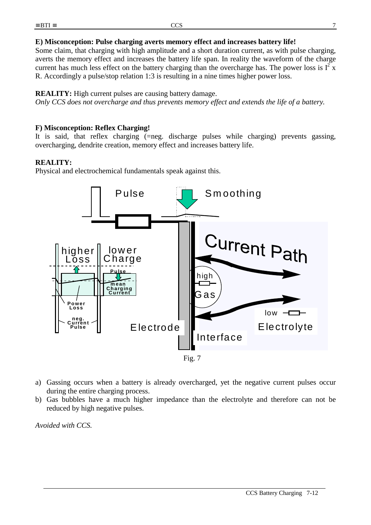#### **E) Misconception: Pulse charging averts memory effect and increases battery life!**

Some claim, that charging with high amplitude and a short duration current, as with pulse charging, averts the memory effect and increases the battery life span. In reality the waveform of the charge current has much less effect on the battery charging than the overcharge has. The power loss is  $I^2$  x R. Accordingly a pulse/stop relation 1:3 is resulting in a nine times higher power loss.

#### **REALITY:** High current pulses are causing battery damage.

*Only CCS does not overcharge and thus prevents memory effect and extends the life of a battery.* 

#### **F) Misconception: Reflex Charging!**

It is said, that reflex charging (=neg. discharge pulses while charging) prevents gassing, overcharging, dendrite creation, memory effect and increases battery life.

#### **REALITY:**

Physical and electrochemical fundamentals speak against this.



- a) Gassing occurs when a battery is already overcharged, yet the negative current pulses occur during the entire charging process.
- b) Gas bubbles have a much higher impedance than the electrolyte and therefore can not be reduced by high negative pulses.

*Avoided with CCS.*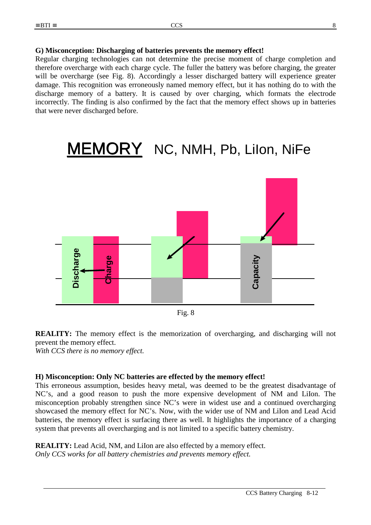#### **G) Misconception: Discharging of batteries prevents the memory effect!**

Regular charging technologies can not determine the precise moment of charge completion and therefore overcharge with each charge cycle. The fuller the battery was before charging, the greater will be overcharge (see Fig. 8). Accordingly a lesser discharged battery will experience greater damage. This recognition was erroneously named memory effect, but it has nothing do to with the discharge memory of a battery. It is caused by over charging, which formats the electrode incorrectly. The finding is also confirmed by the fact that the memory effect shows up in batteries that were never discharged before.

# MEMORY NC, NMH, Pb, Lilon, NiFe



Fig. 8

**REALITY:** The memory effect is the memorization of overcharging, and discharging will not prevent the memory effect.

*With CCS there is no memory effect.* 

#### **H) Misconception: Only NC batteries are effected by the memory effect!**

This erroneous assumption, besides heavy metal, was deemed to be the greatest disadvantage of NC's, and a good reason to push the more expensive development of NM and LiIon. The misconception probably strengthen since NC's were in widest use and a continued overcharging showcased the memory effect for NC's. Now, with the wider use of NM and LiIon and Lead Acid batteries, the memory effect is surfacing there as well. It highlights the importance of a charging system that prevents all overcharging and is not limited to a specific battery chemistry.

**REALITY:** Lead Acid, NM, and LiIon are also effected by a memory effect. *Only CCS works for all battery chemistries and prevents memory effect.*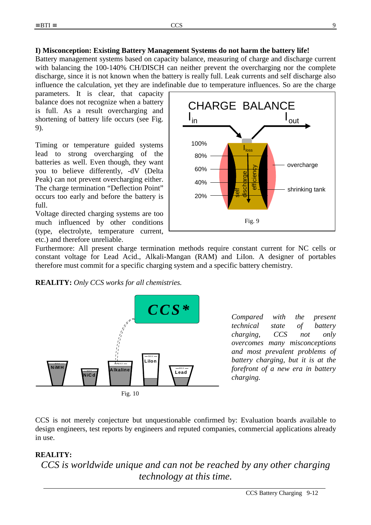#### **I) Misconception: Existing Battery Management Systems do not harm the battery life!**

Battery management systems based on capacity balance, measuring of charge and discharge current with balancing the 100-140% CH/DISCH can neither prevent the overcharging nor the complete discharge, since it is not known when the battery is really full. Leak currents and self discharge also influence the calculation, yet they are indefinable due to temperature influences. So are the charge

parameters. It is clear, that capacity balance does not recognize when a battery is full. As a result overcharging and shortening of battery life occurs (see Fig. 9).

Timing or temperature guided systems lead to strong overcharging of the batteries as well. Even though, they want you to believe differently, -dV (Delta Peak) can not prevent overcharging either. The charge termination "Deflection Point" occurs too early and before the battery is full.

Voltage directed charging systems are too much influenced by other conditions (type, electrolyte, temperature current, etc.) and therefore unreliable.



Furthermore: All present charge termination methods require constant current for NC cells or constant voltage for Lead Acid., Alkali-Mangan (RAM) and LiIon. A designer of portables therefore must commit for a specific charging system and a specific battery chemistry.

#### **REALITY:** *Only CCS works for all chemistries.*



*Compared with the present technical state of battery charging, CCS not only overcomes many misconceptions and most prevalent problems of battery charging, but it is at the forefront of a new era in battery charging.* 

CCS is not merely conjecture but unquestionable confirmed by: Evaluation boards available to design engineers, test reports by engineers and reputed companies, commercial applications already in use.

#### **REALITY:**

*CCS is worldwide unique and can not be reached by any other charging technology at this time.*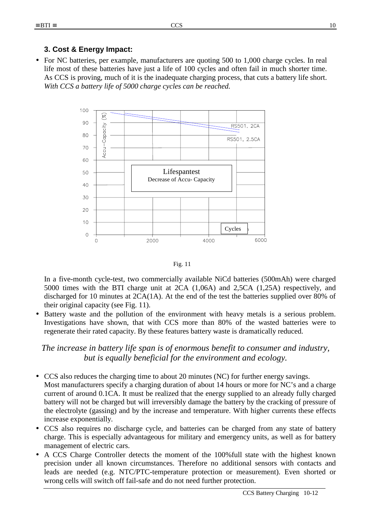#### **3. Cost & Energy Impact:**

• For NC batteries, per example, manufacturers are quoting 500 to 1,000 charge cycles. In real life most of these batteries have just a life of 100 cycles and often fail in much shorter time. As CCS is proving, much of it is the inadequate charging process, that cuts a battery life short. *With CCS a battery life of 5000 charge cycles can be reached.* 



Fig. 11

In a five-month cycle-test, two commercially available NiCd batteries (500mAh) were charged 5000 times with the BTI charge unit at 2CA (1,06A) and 2,5CA (1,25A) respectively, and discharged for 10 minutes at 2CA(1A). At the end of the test the batteries supplied over 80% of their original capacity (see Fig. 11).

• Battery waste and the pollution of the environment with heavy metals is a serious problem. Investigations have shown, that with CCS more than 80% of the wasted batteries were to regenerate their rated capacity. By these features battery waste is dramatically reduced.

#### *The increase in battery life span is of enormous benefit to consumer and industry, but is equally beneficial for the environment and ecology.*

- CCS also reduces the charging time to about 20 minutes (NC) for further energy savings. Most manufacturers specify a charging duration of about 14 hours or more for NC's and a charge current of around 0.1CA. It must be realized that the energy supplied to an already fully charged battery will not be charged but will irreversibly damage the battery by the cracking of pressure of the electrolyte (gassing) and by the increase and temperature. With higher currents these effects increase exponentially.
- CCS also requires no discharge cycle, and batteries can be charged from any state of battery charge. This is especially advantageous for military and emergency units, as well as for battery management of electric cars.
- A CCS Charge Controller detects the moment of the 100%full state with the highest known precision under all known circumstances. Therefore no additional sensors with contacts and leads are needed (e.g. NTC/PTC-temperature protection or measurement). Even shorted or wrong cells will switch off fail-safe and do not need further protection.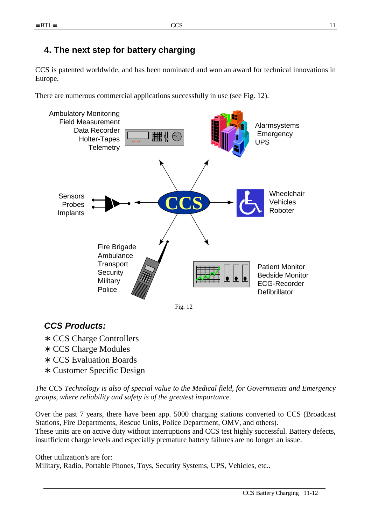# **4. The next step for battery charging**

CCS is patented worldwide, and has been nominated and won an award for technical innovations in Europe.

There are numerous commercial applications successfully in use (see Fig. 12).





# *CCS Products:*

- ∗ CCS Charge Controllers
- ∗ CCS Charge Modules
- ∗ CCS Evaluation Boards
- ∗ Customer Specific Design

*The CCS Technology is also of special value to the Medical field, for Governments and Emergency groups, where reliability and safety is of the greatest importance.* 

Over the past 7 years, there have been app. 5000 charging stations converted to CCS (Broadcast Stations, Fire Departments, Rescue Units, Police Department, OMV, and others). These units are on active duty without interruptions and CCS test highly successful. Battery defects, insufficient charge levels and especially premature battery failures are no longer an issue.

Other utilization's are for: Military, Radio, Portable Phones, Toys, Security Systems, UPS, Vehicles, etc..